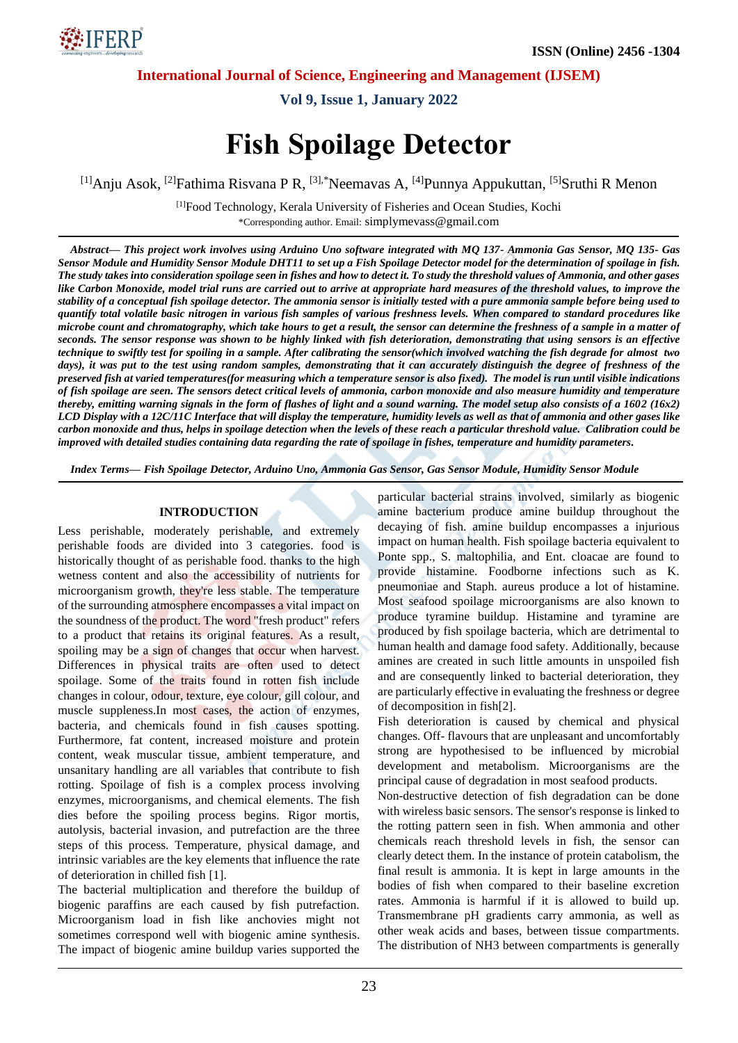

**Vol 9, Issue 1, January 2022**

# **Fish Spoilage Detector**

<sup>[1]</sup>Anju Asok, <sup>[2]</sup>Fathima Risvana P R, <sup>[3],\*</sup>Neemavas A, <sup>[4]</sup>Punnya Appukuttan, <sup>[5]</sup>Sruthi R Menon

[1]Food Technology, Kerala University of Fisheries and Ocean Studies, Kochi \*Corresponding author. Email: simplymevass@gmail.com

*Abstract— This project work involves using Arduino Uno software integrated with MQ 137- Ammonia Gas Sensor, MQ 135- Gas Sensor Module and Humidity Sensor Module DHT11 to set up a Fish Spoilage Detector model for the determination of spoilage in fish. The study takes into consideration spoilage seen in fishes and how to detect it. To study the threshold values of Ammonia, and other gases like Carbon Monoxide, model trial runs are carried out to arrive at appropriate hard measures of the threshold values, to improve the stability of a conceptual fish spoilage detector. The ammonia sensor is initially tested with a pure ammonia sample before being used to quantify total volatile basic nitrogen in various fish samples of various freshness levels. When compared to standard procedures like microbe count and chromatography, which take hours to get a result, the sensor can determine the freshness of a sample in a matter of seconds. The sensor response was shown to be highly linked with fish deterioration, demonstrating that using sensors is an effective technique to swiftly test for spoiling in a sample. After calibrating the sensor(which involved watching the fish degrade for almost two*  days), it was put to the test using random samples, demonstrating that it can accurately distinguish the degree of freshness of the *preserved fish at varied temperatures(for measuring which a temperature sensor is also fixed). The model is run until visible indications of fish spoilage are seen. The sensors detect critical levels of ammonia, carbon monoxide and also measure humidity and temperature thereby, emitting warning signals in the form of flashes of light and a sound warning. The model setup also consists of a 1602 (16x2) LCD Display with a 12C/11C Interface that will display the temperature, humidity levels as well as that of ammonia and other gases like carbon monoxide and thus, helps in spoilage detection when the levels of these reach a particular threshold value. Calibration could be improved with detailed studies containing data regarding the rate of spoilage in fishes, temperature and humidity parameters.*

*Index Terms— Fish Spoilage Detector, Arduino Uno, Ammonia Gas Sensor, Gas Sensor Module, Humidity Sensor Module*

#### **INTRODUCTION**

Less perishable, moderately perishable, and extremely perishable foods are divided into 3 categories. food is historically thought of as perishable food. thanks to the high wetness content and also the accessibility of nutrients for microorganism growth, they're less stable. The temperature of the surrounding atmosphere encompasses a vital impact on the soundness of the product. The word "fresh product" refers to a product that retains its original features. As a result, spoiling may be a sign of changes that occur when harvest. Differences in physical traits are often used to detect spoilage. Some of the traits found in rotten fish include changes in colour, odour, texture, eye colour, gill colour, and muscle suppleness.In most cases, the action of enzymes, bacteria, and chemicals found in fish causes spotting. Furthermore, fat content, increased moisture and protein content, weak muscular tissue, ambient temperature, and unsanitary handling are all variables that contribute to fish rotting. Spoilage of fish is a complex process involving enzymes, microorganisms, and chemical elements. The fish dies before the spoiling process begins. Rigor mortis, autolysis, bacterial invasion, and putrefaction are the three steps of this process. Temperature, physical damage, and intrinsic variables are the key elements that influence the rate of deterioration in chilled fish [1].

The bacterial multiplication and therefore the buildup of biogenic paraffins are each caused by fish putrefaction. Microorganism load in fish like anchovies might not sometimes correspond well with biogenic amine synthesis. The impact of biogenic amine buildup varies supported the particular bacterial strains involved, similarly as biogenic amine bacterium produce amine buildup throughout the decaying of fish. amine buildup encompasses a injurious impact on human health. Fish spoilage bacteria equivalent to Ponte spp., S. maltophilia, and Ent. cloacae are found to provide histamine. Foodborne infections such as K. pneumoniae and Staph. aureus produce a lot of histamine. Most seafood spoilage microorganisms are also known to produce tyramine buildup. Histamine and tyramine are produced by fish spoilage bacteria, which are detrimental to human health and damage food safety. Additionally, because amines are created in such little amounts in unspoiled fish and are consequently linked to bacterial deterioration, they are particularly effective in evaluating the freshness or degree of decomposition in fish[2].

Fish deterioration is caused by chemical and physical changes. Off- flavours that are unpleasant and uncomfortably strong are hypothesised to be influenced by microbial development and metabolism. Microorganisms are the principal cause of degradation in most seafood products.

Non-destructive detection of fish degradation can be done with wireless basic sensors. The sensor's response is linked to the rotting pattern seen in fish. When ammonia and other chemicals reach threshold levels in fish, the sensor can clearly detect them. In the instance of protein catabolism, the final result is ammonia. It is kept in large amounts in the bodies of fish when compared to their baseline excretion rates. Ammonia is harmful if it is allowed to build up. Transmembrane pH gradients carry ammonia, as well as other weak acids and bases, between tissue compartments. The distribution of NH3 between compartments is generally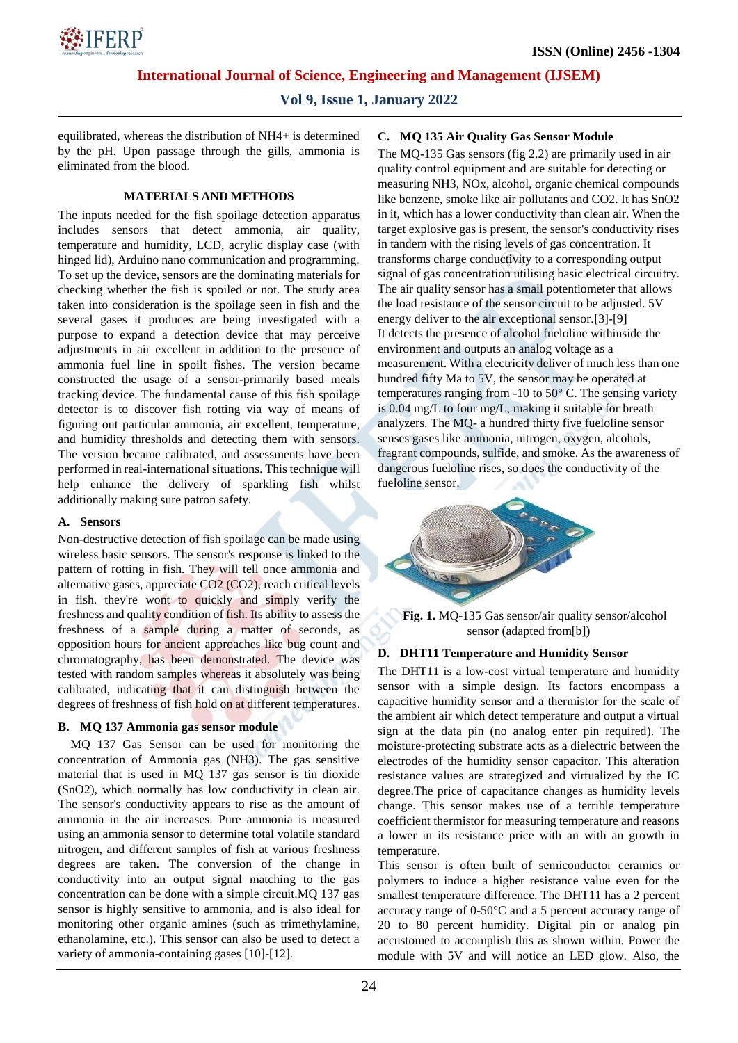## **Vol 9, Issue 1, January 2022**

equilibrated, whereas the distribution of NH4+ is determined by the pH. Upon passage through the gills, ammonia is eliminated from the blood.

## **MATERIALS AND METHODS**

The inputs needed for the fish spoilage detection apparatus includes sensors that detect ammonia, air quality, temperature and humidity, LCD, acrylic display case (with hinged lid), Arduino nano communication and programming. To set up the device, sensors are the dominating materials for checking whether the fish is spoiled or not. The study area taken into consideration is the spoilage seen in fish and the several gases it produces are being investigated with a purpose to expand a detection device that may perceive adjustments in air excellent in addition to the presence of ammonia fuel line in spoilt fishes. The version became constructed the usage of a sensor-primarily based meals tracking device. The fundamental cause of this fish spoilage detector is to discover fish rotting via way of means of figuring out particular ammonia, air excellent, temperature, and humidity thresholds and detecting them with sensors. The version became calibrated, and assessments have been performed in real-international situations. This technique will help enhance the delivery of sparkling fish whilst additionally making sure patron safety.

## **A. Sensors**

Non-destructive detection of fish spoilage can be made using wireless basic sensors. The sensor's response is linked to the pattern of rotting in fish. They will tell once ammonia and alternative gases, appreciate CO2 (CO2), reach critical levels in fish. they're wont to quickly and simply verify the freshness and quality condition of fish. Its ability to assess the freshness of a sample during a matter of seconds, as opposition hours for ancient approaches like bug count and chromatography, has been demonstrated. The device was tested with random samples whereas it absolutely was being calibrated, indicating that it can distinguish between the degrees of freshness of fish hold on at different temperatures.

## **B. MQ 137 Ammonia gas sensor module**

MQ 137 Gas Sensor can be used for monitoring the concentration of Ammonia gas (NH3). The gas sensitive material that is used in MQ 137 gas sensor is tin dioxide (SnO2), which normally has low conductivity in clean air. The sensor's conductivity appears to rise as the amount of ammonia in the air increases. Pure ammonia is measured using an ammonia sensor to determine total volatile standard nitrogen, and different samples of fish at various freshness degrees are taken. The conversion of the change in conductivity into an output signal matching to the gas concentration can be done with a simple circuit.MQ 137 gas sensor is highly sensitive to ammonia, and is also ideal for monitoring other organic amines (such as trimethylamine, ethanolamine, etc.). This sensor can also be used to detect a variety of ammonia-containing gases [10]-[12].

## **C. MQ 135 Air Quality Gas Sensor Module**

The MQ-135 Gas sensors (fig 2.2) are primarily used in air quality control equipment and are suitable for detecting or measuring NH3, NOx, alcohol, organic chemical compounds like benzene, smoke like air pollutants and CO2. It has SnO2 in it, which has a lower conductivity than clean air. When the target explosive gas is present, the sensor's conductivity rises in tandem with the rising levels of gas concentration. It transforms charge conductivity to a corresponding output signal of gas concentration utilising basic electrical circuitry. The air quality sensor has a small potentiometer that allows the load resistance of the sensor circuit to be adjusted. 5V energy deliver to the air exceptional sensor.[3]-[9] It detects the presence of alcohol fueloline withinside the environment and outputs an analog voltage as a measurement. With a electricity deliver of much less than one hundred fifty Ma to 5V, the sensor may be operated at temperatures ranging from -10 to 50° C. The sensing variety is 0.04 mg/L to four mg/L, making it suitable for breath analyzers. The MQ- a hundred thirty five fueloline sensor senses gases like ammonia, nitrogen, oxygen, alcohols, fragrant compounds, sulfide, and smoke. As the awareness of dangerous fueloline rises, so does the conductivity of the fueloline sensor.



**Fig. 1.** MQ-135 Gas sensor/air quality sensor/alcohol sensor (adapted from[b])

## **D. DHT11 Temperature and Humidity Sensor**

The DHT11 is a low-cost virtual temperature and humidity sensor with a simple design. Its factors encompass a capacitive humidity sensor and a thermistor for the scale of the ambient air which detect temperature and output a virtual sign at the data pin (no analog enter pin required). The moisture-protecting substrate acts as a dielectric between the electrodes of the humidity sensor capacitor. This alteration resistance values are strategized and virtualized by the IC degree.The price of capacitance changes as humidity levels change. This sensor makes use of a terrible temperature coefficient thermistor for measuring temperature and reasons a lower in its resistance price with an with an growth in temperature.

This sensor is often built of semiconductor ceramics or polymers to induce a higher resistance value even for the smallest temperature difference. The DHT11 has a 2 percent accuracy range of 0-50°C and a 5 percent accuracy range of 20 to 80 percent humidity. Digital pin or analog pin accustomed to accomplish this as shown within. Power the module with 5V and will notice an LED glow. Also, the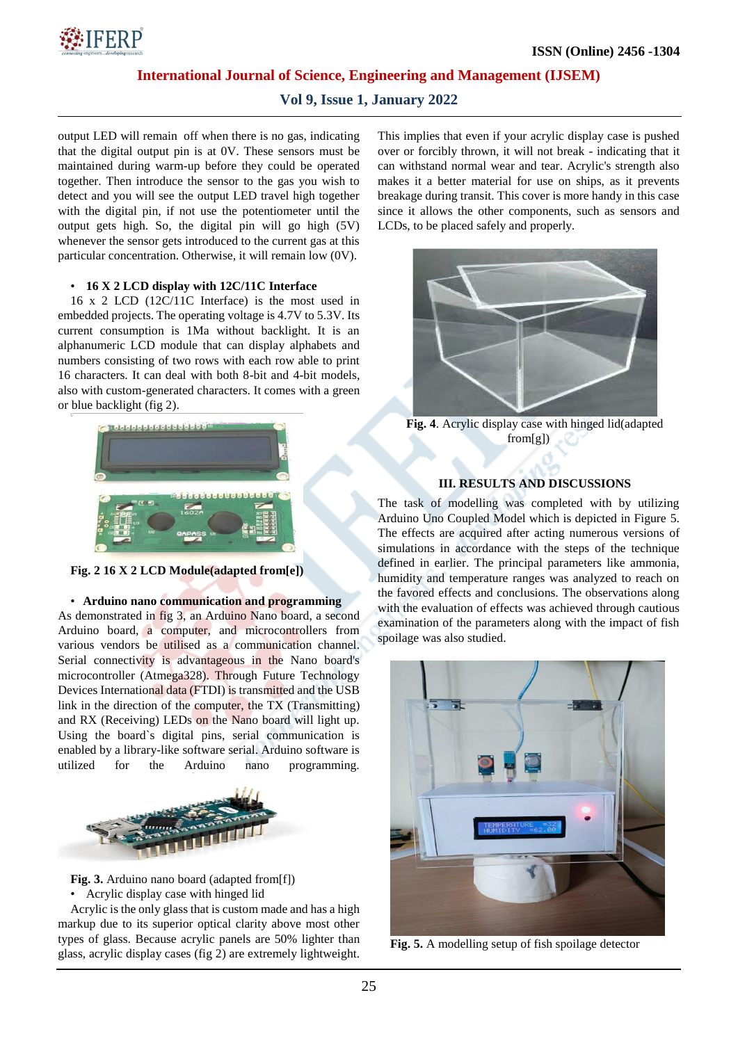## **Vol 9, Issue 1, January 2022**

output LED will remain off when there is no gas, indicating that the digital output pin is at 0V. These sensors must be maintained during warm-up before they could be operated together. Then introduce the sensor to the gas you wish to detect and you will see the output LED travel high together with the digital pin, if not use the potentiometer until the output gets high. So, the digital pin will go high (5V) whenever the sensor gets introduced to the current gas at this particular concentration. Otherwise, it will remain low (0V).

#### • **16 X 2 LCD display with 12C/11C Interface**

16 x 2 LCD (12C/11C Interface) is the most used in embedded projects. The operating voltage is 4.7V to 5.3V. Its current consumption is 1Ma without backlight. It is an alphanumeric LCD module that can display alphabets and numbers consisting of two rows with each row able to print 16 characters. It can deal with both 8-bit and 4-bit models, also with custom-generated characters. It comes with a green or blue backlight (fig 2).



**Fig. 2 16 X 2 LCD Module(adapted from[e])**

## • **Arduino nano communication and programming**

As demonstrated in fig 3, an Arduino Nano board, a second Arduino board, a computer, and microcontrollers from various vendors be utilised as a communication channel. Serial connectivity is advantageous in the Nano board's microcontroller (Atmega328). Through Future Technology Devices International data (FTDI) is transmitted and the USB link in the direction of the computer, the TX (Transmitting) and RX (Receiving) LEDs on the Nano board will light up. Using the board`s digital pins, serial communication is enabled by a library-like software serial. Arduino software is utilized for the Arduino nano programming.



**Fig. 3.** Arduino nano board (adapted from[f])

• Acrylic display case with hinged lid

Acrylic is the only glass that is custom made and has a high markup due to its superior optical clarity above most other types of glass. Because acrylic panels are 50% lighter than glass, acrylic display cases (fig 2) are extremely lightweight.

This implies that even if your acrylic display case is pushed over or forcibly thrown, it will not break - indicating that it can withstand normal wear and tear. Acrylic's strength also makes it a better material for use on ships, as it prevents breakage during transit. This cover is more handy in this case since it allows the other components, such as sensors and LCDs, to be placed safely and properly.



**Fig. 4**. Acrylic display case with hinged lid(adapted from[g])

#### **III. RESULTS AND DISCUSSIONS**

The task of modelling was completed with by utilizing Arduino Uno Coupled Model which is depicted in Figure 5. The effects are acquired after acting numerous versions of simulations in accordance with the steps of the technique defined in earlier. The principal parameters like ammonia, humidity and temperature ranges was analyzed to reach on the favored effects and conclusions. The observations along with the evaluation of effects was achieved through cautious examination of the parameters along with the impact of fish spoilage was also studied.



**Fig. 5.** A modelling setup of fish spoilage detector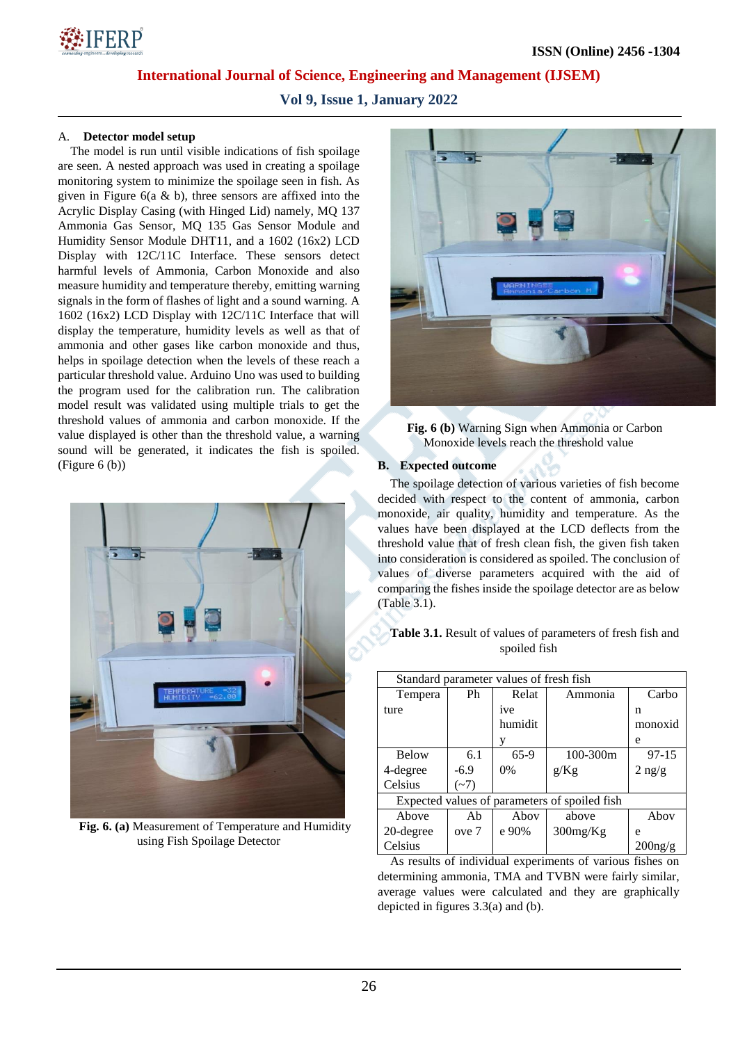**Vol 9, Issue 1, January 2022**

## A. **Detector model setup**

The model is run until visible indications of fish spoilage are seen. A nested approach was used in creating a spoilage monitoring system to minimize the spoilage seen in fish. As given in Figure  $6(a \& b)$ , three sensors are affixed into the Acrylic Display Casing (with Hinged Lid) namely, MQ 137 Ammonia Gas Sensor, MQ 135 Gas Sensor Module and Humidity Sensor Module DHT11, and a 1602 (16x2) LCD Display with 12C/11C Interface. These sensors detect harmful levels of Ammonia, Carbon Monoxide and also measure humidity and temperature thereby, emitting warning signals in the form of flashes of light and a sound warning. A 1602 (16x2) LCD Display with 12C/11C Interface that will display the temperature, humidity levels as well as that of ammonia and other gases like carbon monoxide and thus, helps in spoilage detection when the levels of these reach a particular threshold value. Arduino Uno was used to building the program used for the calibration run. The calibration model result was validated using multiple trials to get the threshold values of ammonia and carbon monoxide. If the value displayed is other than the threshold value, a warning sound will be generated, it indicates the fish is spoiled. (Figure 6 (b))



**Fig. 6. (a)** Measurement of Temperature and Humidity using Fish Spoilage Detector



**Fig. 6 (b)** Warning Sign when Ammonia or Carbon Monoxide levels reach the threshold value

## **B. Expected outcome**

The spoilage detection of various varieties of fish become decided with respect to the content of ammonia, carbon monoxide, air quality, humidity and temperature. As the values have been displayed at the LCD deflects from the threshold value that of fresh clean fish, the given fish taken into consideration is considered as spoiled. The conclusion of values of diverse parameters acquired with the aid of comparing the fishes inside the spoilage detector are as below (Table 3.1).

| Standard parameter values of fresh fish       |        |         |              |                                |
|-----------------------------------------------|--------|---------|--------------|--------------------------------|
| Tempera                                       | Ph     | Relat   | Ammonia      | Carbo                          |
| ture                                          |        | ive     |              | n                              |
|                                               |        | humidit |              | monoxid                        |
|                                               |        | y       |              | e                              |
| <b>Below</b>                                  | 6.1    | 65-9    | $100 - 300m$ | 97-15                          |
| 4-degree                                      | $-6.9$ | $0\%$   | g/Kg         | $2 \frac{\text{ng}}{\text{g}}$ |
| Celsius                                       | $(-7)$ |         |              |                                |
| Expected values of parameters of spoiled fish |        |         |              |                                |
| Above                                         | Ab     | Aboy    | above        | Abov                           |
| 20-degree                                     | ove 7  | e 90%   | $300$ mg/Kg  | e                              |
| Celsius                                       |        |         |              | $200$ ng/g                     |

**Table 3.1.** Result of values of parameters of fresh fish and spoiled fish

As results of individual experiments of various fishes on determining ammonia, TMA and TVBN were fairly similar, average values were calculated and they are graphically depicted in figures 3.3(a) and (b).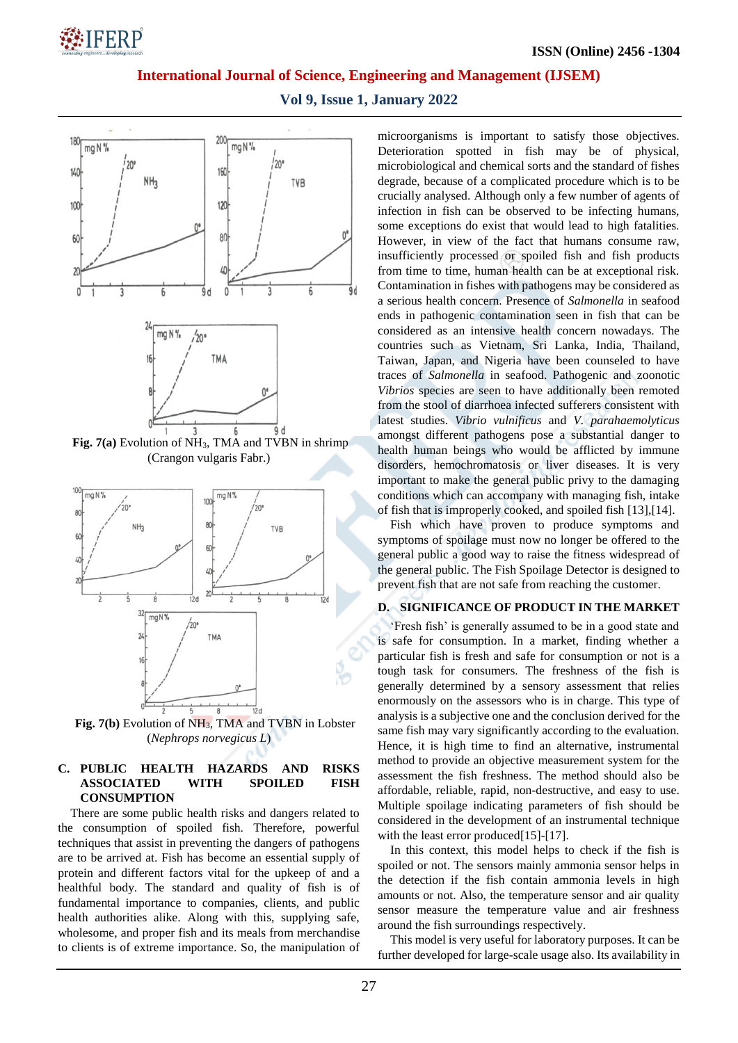# **\*IFERP**

**International Journal of Science, Engineering and Management (IJSEM)**

**Vol 9, Issue 1, January 2022**



**Fig. 7(b)** Evolution of NH3, TMA and TVBN in Lobster (*Nephrops norvegicus L*)

## **C. PUBLIC HEALTH HAZARDS AND RISKS ASSOCIATED WITH SPOILED FISH CONSUMPTION**

There are some public health risks and dangers related to the consumption of spoiled fish. Therefore, powerful techniques that assist in preventing the dangers of pathogens are to be arrived at. Fish has become an essential supply of protein and different factors vital for the upkeep of and a healthful body. The standard and quality of fish is of fundamental importance to companies, clients, and public health authorities alike. Along with this, supplying safe, wholesome, and proper fish and its meals from merchandise to clients is of extreme importance. So, the manipulation of microorganisms is important to satisfy those objectives. Deterioration spotted in fish may be of physical, microbiological and chemical sorts and the standard of fishes degrade, because of a complicated procedure which is to be crucially analysed. Although only a few number of agents of infection in fish can be observed to be infecting humans, some exceptions do exist that would lead to high fatalities. However, in view of the fact that humans consume raw, insufficiently processed or spoiled fish and fish products from time to time, human health can be at exceptional risk. Contamination in fishes with pathogens may be considered as a serious health concern. Presence of *Salmonella* in seafood ends in pathogenic contamination seen in fish that can be considered as an intensive health concern nowadays. The countries such as Vietnam, Sri Lanka, India, Thailand, Taiwan, Japan, and Nigeria have been counseled to have traces of *Salmonella* in seafood. Pathogenic and zoonotic *Vibrios* species are seen to have additionally been remoted from the stool of diarrhoea infected sufferers consistent with latest studies. *Vibrio vulnificus* and *V. parahaemolyticus* amongst different pathogens pose a substantial danger to health human beings who would be afflicted by immune disorders, hemochromatosis or liver diseases. It is very important to make the general public privy to the damaging conditions which can accompany with managing fish, intake of fish that is improperly cooked, and spoiled fish [13],[14].

Fish which have proven to produce symptoms and symptoms of spoilage must now no longer be offered to the general public a good way to raise the fitness widespread of the general public. The Fish Spoilage Detector is designed to prevent fish that are not safe from reaching the customer.

## **D. SIGNIFICANCE OF PRODUCT IN THE MARKET**

'Fresh fish' is generally assumed to be in a good state and is safe for consumption. In a market, finding whether a particular fish is fresh and safe for consumption or not is a tough task for consumers. The freshness of the fish is generally determined by a sensory assessment that relies enormously on the assessors who is in charge. This type of analysis is a subjective one and the conclusion derived for the same fish may vary significantly according to the evaluation. Hence, it is high time to find an alternative, instrumental method to provide an objective measurement system for the assessment the fish freshness. The method should also be affordable, reliable, rapid, non-destructive, and easy to use. Multiple spoilage indicating parameters of fish should be considered in the development of an instrumental technique with the least error produced<sup>[15]-[17]</sup>.

In this context, this model helps to check if the fish is spoiled or not. The sensors mainly ammonia sensor helps in the detection if the fish contain ammonia levels in high amounts or not. Also, the temperature sensor and air quality sensor measure the temperature value and air freshness around the fish surroundings respectively.

This model is very useful for laboratory purposes. It can be further developed for large-scale usage also. Its availability in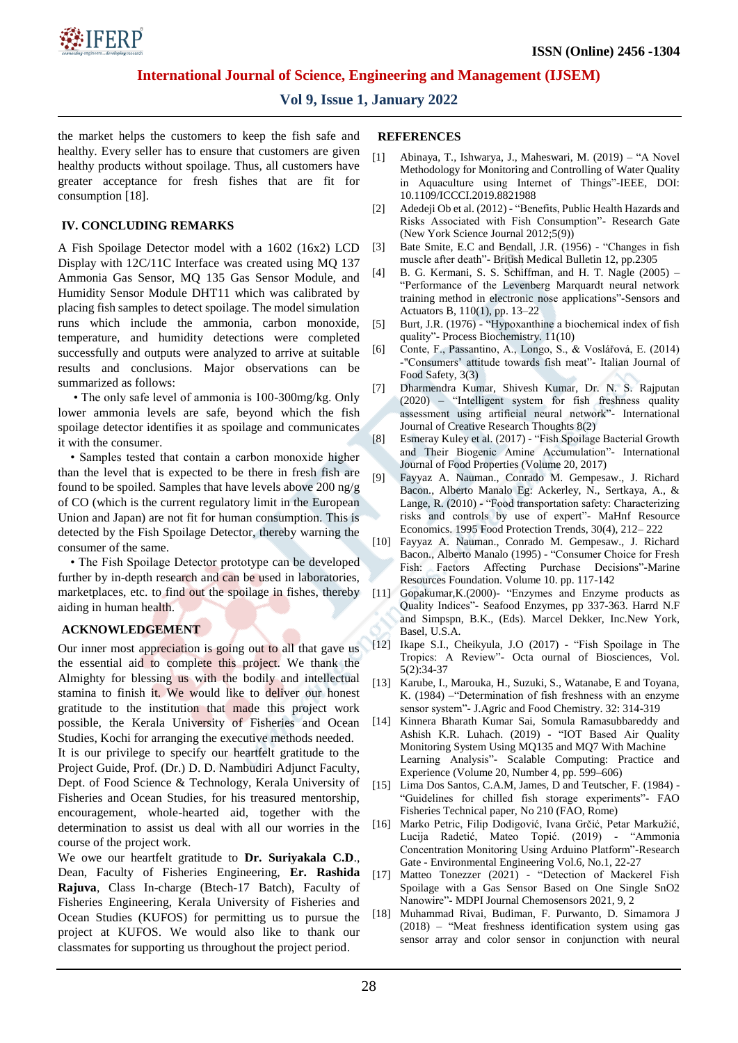

## **Vol 9, Issue 1, January 2022**

the market helps the customers to keep the fish safe and healthy. Every seller has to ensure that customers are given healthy products without spoilage. Thus, all customers have greater acceptance for fresh fishes that are fit for consumption [18].

## **IV. CONCLUDING REMARKS**

A Fish Spoilage Detector model with a 1602 (16x2) LCD Display with 12C/11C Interface was created using MQ 137 Ammonia Gas Sensor, MQ 135 Gas Sensor Module, and Humidity Sensor Module DHT11 which was calibrated by placing fish samples to detect spoilage. The model simulation runs which include the ammonia, carbon monoxide, temperature, and humidity detections were completed successfully and outputs were analyzed to arrive at suitable results and conclusions. Major observations can be summarized as follows:

• The only safe level of ammonia is 100-300mg/kg. Only lower ammonia levels are safe, beyond which the fish spoilage detector identifies it as spoilage and communicates it with the consumer.

• Samples tested that contain a carbon monoxide higher than the level that is expected to be there in fresh fish are found to be spoiled. Samples that have levels above 200 ng/g of CO (which is the current regulatory limit in the European Union and Japan) are not fit for human consumption. This is detected by the Fish Spoilage Detector, thereby warning the consumer of the same.

• The Fish Spoilage Detector prototype can be developed further by in-depth research and can be used in laboratories, marketplaces, etc. to find out the spoilage in fishes, thereby aiding in human health.

## **ACKNOWLEDGEMENT**

Our inner most appreciation is going out to all that gave us the essential aid to complete this project. We thank the Almighty for blessing us with the bodily and intellectual stamina to finish it. We would like to deliver our honest gratitude to the institution that made this project work possible, the Kerala University of Fisheries and Ocean Studies, Kochi for arranging the executive methods needed. It is our privilege to specify our heartfelt gratitude to the Project Guide, Prof. (Dr.) D. D. Nambudiri Adjunct Faculty, Dept. of Food Science & Technology, Kerala University of Fisheries and Ocean Studies, for his treasured mentorship, encouragement, whole-hearted aid, together with the

determination to assist us deal with all our worries in the course of the project work. We owe our heartfelt gratitude to **Dr. Suriyakala C.D**.,

Dean, Faculty of Fisheries Engineering, **Er. Rashida Rajuva**, Class In-charge (Btech-17 Batch), Faculty of Fisheries Engineering, Kerala University of Fisheries and Ocean Studies (KUFOS) for permitting us to pursue the project at KUFOS. We would also like to thank our classmates for supporting us throughout the project period.

#### **REFERENCES**

- [1] Abinaya, T., Ishwarya, J., Maheswari, M. (2019) "A Novel Methodology for Monitoring and Controlling of Water Quality in Aquaculture using Internet of Things"-IEEE, DOI: 10.1109/ICCCI.2019.8821988
- [2] Adedeji Ob et al. (2012) "Benefits, Public Health Hazards and Risks Associated with Fish Consumption"- Research Gate (New York Science Journal 2012;5(9))
- [3] Bate Smite, E.C and Bendall, J.R. (1956) "Changes in fish muscle after death"- British Medical Bulletin 12, pp.2305
- [4] B. G. Kermani, S. S. Schiffman, and H. T. Nagle (2005) "Performance of the Levenberg Marquardt neural network training method in electronic nose applications"-Sensors and Actuators B, 110(1), pp. 13–22
- [5] Burt, J.R. (1976) "Hypoxanthine a biochemical index of fish quality"- Process Biochemistry. 11(10)
- [6] Conte, F., Passantino, A., Longo, S., & Voslářová, E. (2014) -"Consumers' attitude towards fish meat"- Italian Journal of Food Safety, 3(3)
- [7] Dharmendra Kumar, Shivesh Kumar, Dr. N. S. Rajputan (2020) – "Intelligent system for fish freshness quality assessment using artificial neural network"- International Journal of Creative Research Thoughts 8(2)
- [8] Esmeray Kuley et al. (2017) "Fish Spoilage Bacterial Growth and Their Biogenic Amine Accumulation"- International Journal of Food Properties (Volume 20, 2017)
- [9] Fayyaz A. Nauman., Conrado M. Gempesaw., J. Richard Bacon., Alberto Manalo Eg: Ackerley, N., Sertkaya, A., & Lange, R. (2010) - "Food transportation safety: Characterizing risks and controls by use of expert"- MaHnf Resource Economics. 1995 Food Protection Trends, 30(4), 212– 222
- [10] Fayyaz A. Nauman., Conrado M. Gempesaw., J. Richard Bacon., Alberto Manalo (1995) - "Consumer Choice for Fresh Fish: Factors Affecting Purchase Decisions"-Marine Resources Foundation. Volume 10. pp. 117-142
- [11] Gopakumar,K.(2000)- "Enzymes and Enzyme products as Quality Indices"- Seafood Enzymes, pp 337-363. Harrd N.F and Simpspn, B.K., (Eds). Marcel Dekker, Inc.New York, Basel, U.S.A.
- [12] Ikape S.I., Cheikyula, J.O (2017) "Fish Spoilage in The Tropics: A Review"- Octa ournal of Biosciences, Vol. 5(2):34-37
- [13] Karube, I., Marouka, H., Suzuki, S., Watanabe, E and Toyana, K. (1984) –"Determination of fish freshness with an enzyme sensor system"- J.Agric and Food Chemistry. 32: 314-319
- [14] Kinnera Bharath Kumar Sai, Somula Ramasubbareddy and Ashish K.R. Luhach. (2019) - "IOT Based Air Quality Monitoring System Using MQ135 and MQ7 With Machine Learning Analysis"- Scalable Computing: Practice and Experience (Volume 20, Number 4, pp. 599–606)
- [15] Lima Dos Santos, C.A.M, James, D and Teutscher, F. (1984) "Guidelines for chilled fish storage experiments"- FAO Fisheries Technical paper, No 210 (FAO, Rome)
- [16] Marko Petric, Filip Dodigović, Ivana Grčić, Petar Markužić, Lucija Radetić, Mateo Topić. (2019) - "Ammonia Concentration Monitoring Using Arduino Platform"-Research Gate - Environmental Engineering Vol.6, No.1, 22-27
- [17] Matteo Tonezzer (2021) "Detection of Mackerel Fish Spoilage with a Gas Sensor Based on One Single SnO2 Nanowire"- MDPI Journal Chemosensors 2021, 9, 2
- [18] Muhammad Rivai, Budiman, F. Purwanto, D. Simamora J (2018) – "Meat freshness identification system using gas sensor array and color sensor in conjunction with neural